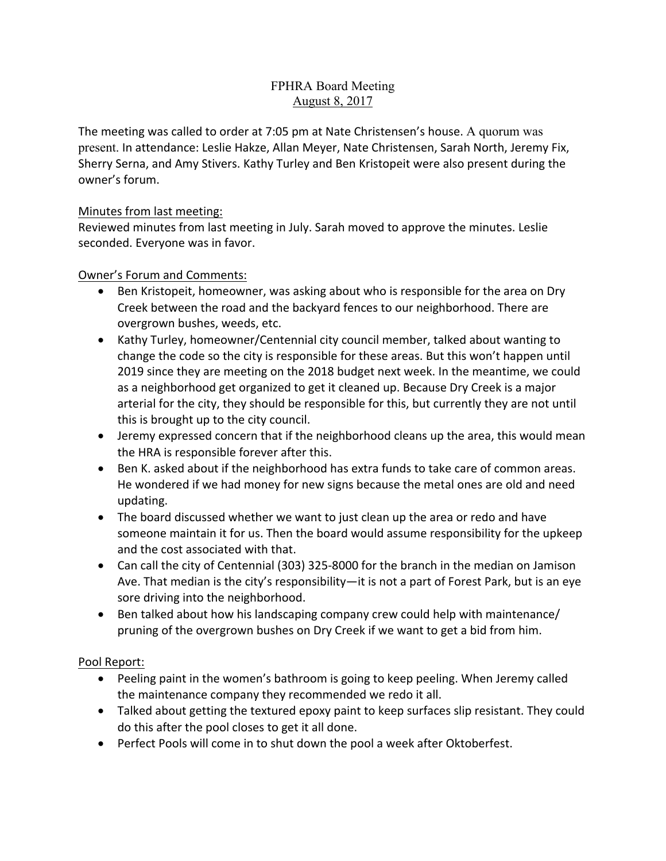# FPHRA Board Meeting August 8, 2017

The meeting was called to order at 7:05 pm at Nate Christensen's house. A quorum was present. In attendance: Leslie Hakze, Allan Meyer, Nate Christensen, Sarah North, Jeremy Fix, Sherry Serna, and Amy Stivers. Kathy Turley and Ben Kristopeit were also present during the owner's forum.

# Minutes from last meeting:

Reviewed minutes from last meeting in July. Sarah moved to approve the minutes. Leslie seconded. Everyone was in favor.

# Owner's Forum and Comments:

- Ben Kristopeit, homeowner, was asking about who is responsible for the area on Dry Creek between the road and the backyard fences to our neighborhood. There are overgrown bushes, weeds, etc.
- Kathy Turley, homeowner/Centennial city council member, talked about wanting to change the code so the city is responsible for these areas. But this won't happen until 2019 since they are meeting on the 2018 budget next week. In the meantime, we could as a neighborhood get organized to get it cleaned up. Because Dry Creek is a major arterial for the city, they should be responsible for this, but currently they are not until this is brought up to the city council.
- Jeremy expressed concern that if the neighborhood cleans up the area, this would mean the HRA is responsible forever after this.
- Ben K. asked about if the neighborhood has extra funds to take care of common areas. He wondered if we had money for new signs because the metal ones are old and need updating.
- The board discussed whether we want to just clean up the area or redo and have someone maintain it for us. Then the board would assume responsibility for the upkeep and the cost associated with that.
- Can call the city of Centennial (303) 325-8000 for the branch in the median on Jamison Ave. That median is the city's responsibility—it is not a part of Forest Park, but is an eye sore driving into the neighborhood.
- Ben talked about how his landscaping company crew could help with maintenance/ pruning of the overgrown bushes on Dry Creek if we want to get a bid from him.

# Pool Report:

- Peeling paint in the women's bathroom is going to keep peeling. When Jeremy called the maintenance company they recommended we redo it all.
- Talked about getting the textured epoxy paint to keep surfaces slip resistant. They could do this after the pool closes to get it all done.
- Perfect Pools will come in to shut down the pool a week after Oktoberfest.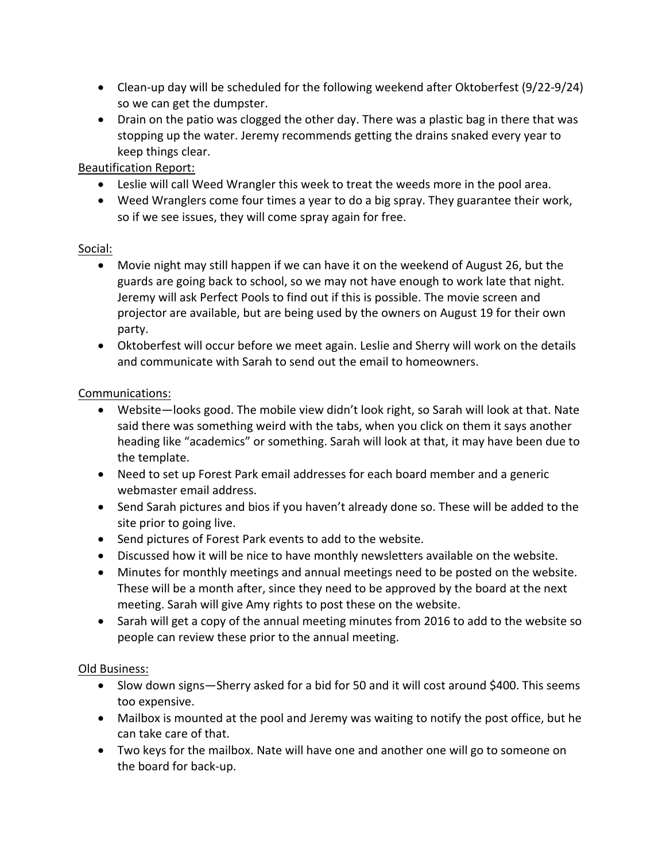- Clean-up day will be scheduled for the following weekend after Oktoberfest (9/22-9/24) so we can get the dumpster.
- Drain on the patio was clogged the other day. There was a plastic bag in there that was stopping up the water. Jeremy recommends getting the drains snaked every year to keep things clear.

# Beautification Report:

- Leslie will call Weed Wrangler this week to treat the weeds more in the pool area.
- Weed Wranglers come four times a year to do a big spray. They guarantee their work, so if we see issues, they will come spray again for free.

# Social:

- Movie night may still happen if we can have it on the weekend of August 26, but the guards are going back to school, so we may not have enough to work late that night. Jeremy will ask Perfect Pools to find out if this is possible. The movie screen and projector are available, but are being used by the owners on August 19 for their own party.
- Oktoberfest will occur before we meet again. Leslie and Sherry will work on the details and communicate with Sarah to send out the email to homeowners.

# Communications:

- Website—looks good. The mobile view didn't look right, so Sarah will look at that. Nate said there was something weird with the tabs, when you click on them it says another heading like "academics" or something. Sarah will look at that, it may have been due to the template.
- Need to set up Forest Park email addresses for each board member and a generic webmaster email address.
- Send Sarah pictures and bios if you haven't already done so. These will be added to the site prior to going live.
- Send pictures of Forest Park events to add to the website.
- Discussed how it will be nice to have monthly newsletters available on the website.
- Minutes for monthly meetings and annual meetings need to be posted on the website. These will be a month after, since they need to be approved by the board at the next meeting. Sarah will give Amy rights to post these on the website.
- Sarah will get a copy of the annual meeting minutes from 2016 to add to the website so people can review these prior to the annual meeting.

# Old Business:

- Slow down signs—Sherry asked for a bid for 50 and it will cost around \$400. This seems too expensive.
- Mailbox is mounted at the pool and Jeremy was waiting to notify the post office, but he can take care of that.
- Two keys for the mailbox. Nate will have one and another one will go to someone on the board for back-up.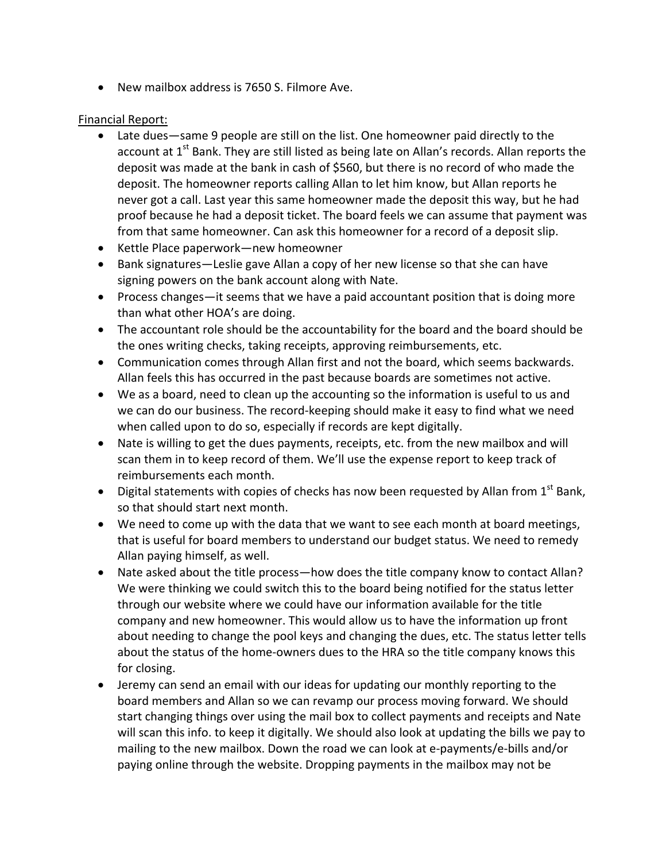• New mailbox address is 7650 S. Filmore Ave.

#### **Financial Report:**

- Late dues—same 9 people are still on the list. One homeowner paid directly to the account at  $1^{st}$  Bank. They are still listed as being late on Allan's records. Allan reports the deposit was made at the bank in cash of \$560, but there is no record of who made the deposit. The homeowner reports calling Allan to let him know, but Allan reports he never got a call. Last year this same homeowner made the deposit this way, but he had proof because he had a deposit ticket. The board feels we can assume that payment was from that same homeowner. Can ask this homeowner for a record of a deposit slip.
- Kettle Place paperwork—new homeowner
- Bank signatures—Leslie gave Allan a copy of her new license so that she can have signing powers on the bank account along with Nate.
- Process changes—it seems that we have a paid accountant position that is doing more than what other HOA's are doing.
- The accountant role should be the accountability for the board and the board should be the ones writing checks, taking receipts, approving reimbursements, etc.
- Communication comes through Allan first and not the board, which seems backwards. Allan feels this has occurred in the past because boards are sometimes not active.
- We as a board, need to clean up the accounting so the information is useful to us and we can do our business. The record-keeping should make it easy to find what we need when called upon to do so, especially if records are kept digitally.
- Nate is willing to get the dues payments, receipts, etc. from the new mailbox and will scan them in to keep record of them. We'll use the expense report to keep track of reimbursements each month.
- Digital statements with copies of checks has now been requested by Allan from  $1<sup>st</sup>$  Bank, so that should start next month.
- We need to come up with the data that we want to see each month at board meetings, that is useful for board members to understand our budget status. We need to remedy Allan paying himself, as well.
- Nate asked about the title process—how does the title company know to contact Allan? We were thinking we could switch this to the board being notified for the status letter through our website where we could have our information available for the title company and new homeowner. This would allow us to have the information up front about needing to change the pool keys and changing the dues, etc. The status letter tells about the status of the home-owners dues to the HRA so the title company knows this for closing.
- Jeremy can send an email with our ideas for updating our monthly reporting to the board members and Allan so we can revamp our process moving forward. We should start changing things over using the mail box to collect payments and receipts and Nate will scan this info. to keep it digitally. We should also look at updating the bills we pay to mailing to the new mailbox. Down the road we can look at e-payments/e-bills and/or paying online through the website. Dropping payments in the mailbox may not be